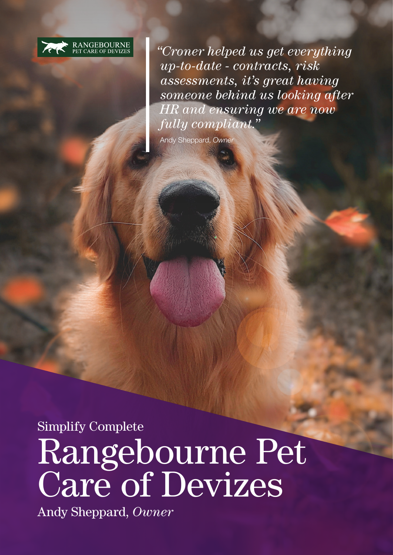

*"Croner helped us get everything up-to-date - contracts, risk assessments, it's great having someone behind us looking after HR and ensuring we are now fully compliant."*

Andy Sheppard, *Owner*

Simplify Complete Rangebourne Pet Care of Devizes

Andy Sheppard, *Owner*